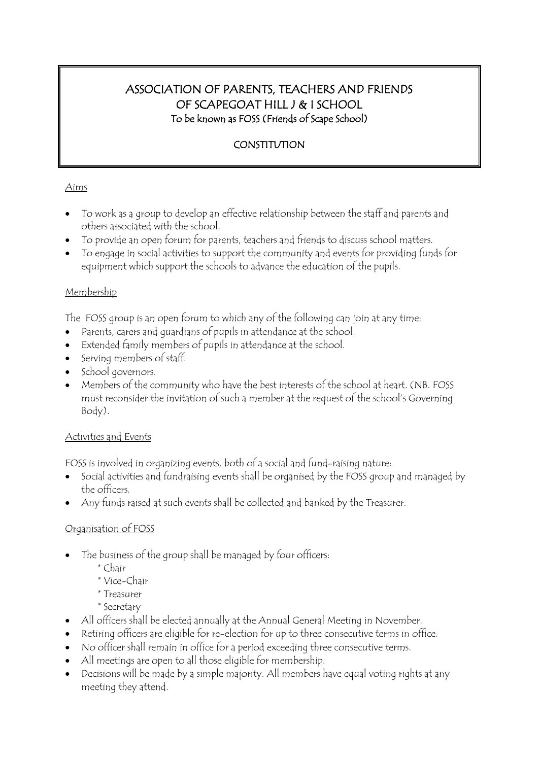# ASSOCIATION OF PARENTS, TEACHERS AND FRIENDS OF SCAPEGOAT HILL J & I SCHOOL To be known as FOSS (Friends of Scape School)

## **CONSTITUTION**

### Aims

- To work as a group to develop an effective relationship between the staff and parents and others associated with the school.
- To provide an open forum for parents, teachers and friends to discuss school matters.
- To engage in social activities to support the community and events for providing funds for equipment which support the schools to advance the education of the pupils.

#### Membership

The FOSS group is an open forum to which any of the following can join at any time:

- Parents, carers and guardians of pupils in attendance at the school.
- Extended family members of pupils in attendance at the school.
- Serving members of staff.
- School governors.
- Members of the community who have the best interests of the school at heart. (NB. FOSS must reconsider the invitation of such a member at the request of the school's Governing Body).

#### Activities and Events

FOSS is involved in organizing events, both of a social and fund-raising nature:

- Social activities and fundraising events shall be organised by the FOSS group and managed by the officers.
- Any funds raised at such events shall be collected and banked by the Treasurer.

## Organisation of FOSS

- The business of the group shall be managed by four officers:
	- \* Chair
	- \* Vice-Chair
	- \* Treasurer
	- \* Secretary
- All officers shall be elected annually at the Annual General Meeting in November.
- Retiring officers are eligible for re-election for up to three consecutive terms in office.
- No officer shall remain in office for a period exceeding three consecutive terms.
- All meetings are open to all those eligible for membership.
- Decisions will be made by a simple majority. All members have equal voting rights at any meeting they attend.